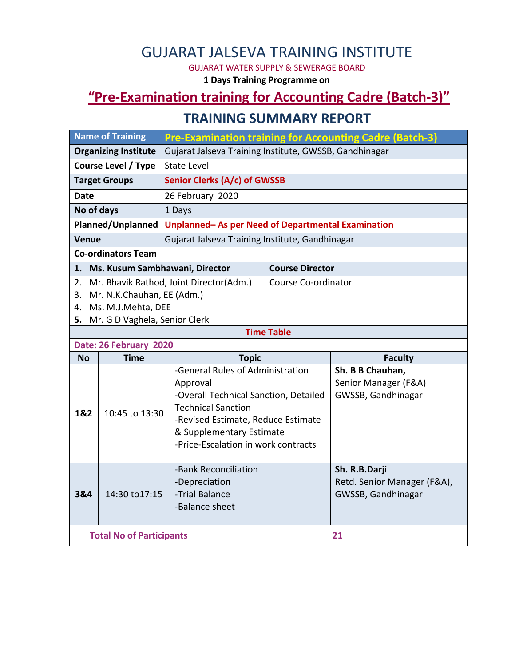# GUJARAT JALSEVA TRAINING INSTITUTE

GUJARAT WATER SUPPLY & SEWERAGE BOARD

**1 Days Training Programme on**

## **"Pre-Examination training for Accounting Cadre (Batch-3)"**

#### **TRAINING SUMMARY REPORT**

| <b>Name of Training</b>                                  |                                 | <b>Pre-Examination training for Accounting Cadre (Batch-3)</b> |                                     |                                       |                             |  |  |
|----------------------------------------------------------|---------------------------------|----------------------------------------------------------------|-------------------------------------|---------------------------------------|-----------------------------|--|--|
| <b>Organizing Institute</b>                              |                                 | Gujarat Jalseva Training Institute, GWSSB, Gandhinagar         |                                     |                                       |                             |  |  |
| <b>Course Level / Type</b>                               |                                 | <b>State Level</b>                                             |                                     |                                       |                             |  |  |
| <b>Target Groups</b>                                     |                                 | Senior Clerks (A/c) of GWSSB                                   |                                     |                                       |                             |  |  |
| <b>Date</b>                                              |                                 | 26 February 2020                                               |                                     |                                       |                             |  |  |
| No of days                                               |                                 | 1 Days                                                         |                                     |                                       |                             |  |  |
| Planned/Unplanned                                        |                                 | Unplanned-As per Need of Departmental Examination              |                                     |                                       |                             |  |  |
| <b>Venue</b>                                             |                                 | Gujarat Jalseva Training Institute, Gandhinagar                |                                     |                                       |                             |  |  |
|                                                          | <b>Co-ordinators Team</b>       |                                                                |                                     |                                       |                             |  |  |
|                                                          |                                 |                                                                | 1. Ms. Kusum Sambhawani, Director   |                                       | <b>Course Director</b>      |  |  |
| Mr. Bhavik Rathod, Joint Director(Adm.)<br>2.            |                                 |                                                                |                                     | Course Co-ordinator                   |                             |  |  |
| 3.                                                       | Mr. N.K.Chauhan, EE (Adm.)      |                                                                |                                     |                                       |                             |  |  |
| Ms. M.J.Mehta, DEE<br>4.                                 |                                 |                                                                |                                     |                                       |                             |  |  |
| Mr. G D Vaghela, Senior Clerk<br>5.<br><b>Time Table</b> |                                 |                                                                |                                     |                                       |                             |  |  |
| Date: 26 February 2020                                   |                                 |                                                                |                                     |                                       |                             |  |  |
|                                                          |                                 |                                                                |                                     |                                       |                             |  |  |
| <b>No</b>                                                | <b>Time</b>                     |                                                                | <b>Topic</b>                        |                                       | <b>Faculty</b>              |  |  |
|                                                          |                                 |                                                                | -General Rules of Administration    |                                       | Sh. B B Chauhan,            |  |  |
|                                                          |                                 | Approval                                                       |                                     |                                       | Senior Manager (F&A)        |  |  |
|                                                          |                                 |                                                                |                                     | -Overall Technical Sanction, Detailed | GWSSB, Gandhinagar          |  |  |
| 1&2                                                      | 10:45 to 13:30                  |                                                                | <b>Technical Sanction</b>           |                                       |                             |  |  |
|                                                          |                                 |                                                                | -Revised Estimate, Reduce Estimate  |                                       |                             |  |  |
|                                                          |                                 |                                                                | & Supplementary Estimate            |                                       |                             |  |  |
|                                                          |                                 |                                                                | -Price-Escalation in work contracts |                                       |                             |  |  |
|                                                          |                                 |                                                                | -Bank Reconciliation                |                                       | Sh. R.B.Darji               |  |  |
|                                                          |                                 | -Depreciation                                                  |                                     |                                       | Retd. Senior Manager (F&A), |  |  |
| 3&4                                                      | 14:30 to 17:15                  | -Trial Balance                                                 |                                     |                                       | GWSSB, Gandhinagar          |  |  |
|                                                          |                                 | -Balance sheet                                                 |                                     |                                       |                             |  |  |
|                                                          | <b>Total No of Participants</b> |                                                                |                                     |                                       | 21                          |  |  |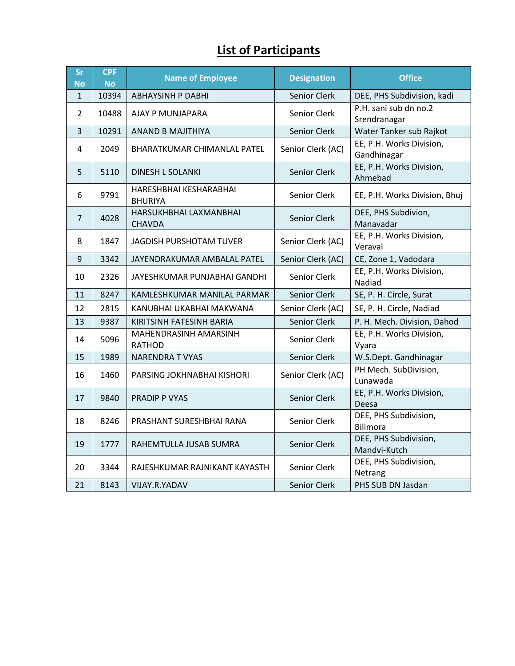## **List of Participants**

| <b>Sr</b><br><b>No</b> | <b>CPF</b><br><b>No</b> | <b>Name of Employee</b>                  | <b>Designation</b>  | <b>Office</b>                           |
|------------------------|-------------------------|------------------------------------------|---------------------|-----------------------------------------|
| $\mathbf{1}$           | 10394                   | <b>ABHAYSINH P DABHI</b>                 | Senior Clerk        | DEE, PHS Subdivision, kadi              |
| 2                      | 10488                   | AJAY P MUNJAPARA                         | Senior Clerk        | P.H. sani sub dn no.2<br>Srendranagar   |
| 3                      | 10291                   | ANAND B MAJITHIYA                        | Senior Clerk        | Water Tanker sub Rajkot                 |
| 4                      | 2049                    | <b>BHARATKUMAR CHIMANLAL PATEL</b>       | Senior Clerk (AC)   | EE, P.H. Works Division,<br>Gandhinagar |
| 5                      | 5110                    | <b>DINESH L SOLANKI</b>                  | <b>Senior Clerk</b> | EE, P.H. Works Division,<br>Ahmebad     |
| 6                      | 9791                    | HARESHBHAI KESHARABHAI<br><b>BHURIYA</b> | Senior Clerk        | EE, P.H. Works Division, Bhuj           |
| $\overline{7}$         | 4028                    | HARSUKHBHAI LAXMANBHAI<br><b>CHAVDA</b>  | Senior Clerk        | DEE, PHS Subdivion,<br>Manavadar        |
| 8                      | 1847                    | JAGDISH PURSHOTAM TUVER                  | Senior Clerk (AC)   | EE, P.H. Works Division,<br>Veraval     |
| 9                      | 3342                    | JAYENDRAKUMAR AMBALAL PATEL              | Senior Clerk (AC)   | CE, Zone 1, Vadodara                    |
| 10                     | 2326                    | JAYESHKUMAR PUNJABHAI GANDHI             | Senior Clerk        | EE, P.H. Works Division,<br>Nadiad      |
| 11                     | 8247                    | KAMLESHKUMAR MANILAL PARMAR              | Senior Clerk        | SE, P. H. Circle, Surat                 |
| 12                     | 2815                    | KANUBHAI UKABHAI MAKWANA                 | Senior Clerk (AC)   | SE, P. H. Circle, Nadiad                |
| 13                     | 9387                    | KIRITSINH FATESINH BARIA                 | Senior Clerk        | P. H. Mech. Division, Dahod             |
| 14                     | 5096                    | MAHENDRASINH AMARSINH<br><b>RATHOD</b>   | Senior Clerk        | EE, P.H. Works Division,<br>Vyara       |
| 15                     | 1989                    | <b>NARENDRA T VYAS</b>                   | Senior Clerk        | W.S.Dept. Gandhinagar                   |
| 16                     | 1460                    | PARSING JOKHNABHAI KISHORI               | Senior Clerk (AC)   | PH Mech. SubDivision,<br>Lunawada       |
| 17                     | 9840                    | <b>PRADIP P VYAS</b>                     | Senior Clerk        | EE, P.H. Works Division,<br>Deesa       |
| 18                     | 8246                    | PRASHANT SURESHBHAI RANA                 | Senior Clerk        | DEE, PHS Subdivision,<br>Bilimora       |
| 19                     | 1777                    | RAHEMTULLA JUSAB SUMRA                   | Senior Clerk        | DEE, PHS Subdivision,<br>Mandvi-Kutch   |
| 20                     | 3344                    | RAJESHKUMAR RAJNIKANT KAYASTH            | Senior Clerk        | DEE, PHS Subdivision,<br>Netrang        |
| 21                     | 8143                    | VIJAY.R.YADAV                            | Senior Clerk        | PHS SUB DN Jasdan                       |